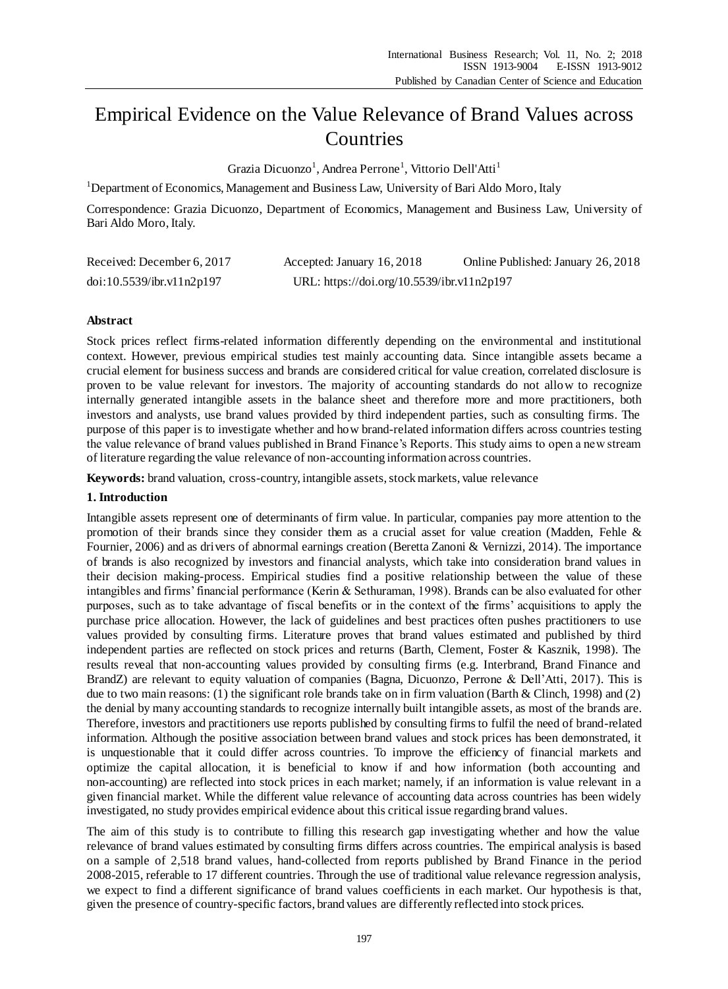# Empirical Evidence on the Value Relevance of Brand Values across Countries

Grazia Dicuonzo<sup>1</sup>, Andrea Perrone<sup>1</sup>, Vittorio Dell'Atti<sup>1</sup>

<sup>1</sup>Department of Economics, Management and Business Law, University of Bari Aldo Moro, Italy

Correspondence: Grazia Dicuonzo, Department of Economics, Management and Business Law, University of Bari Aldo Moro, Italy.

| Received: December 6, 2017 | Accepted: January 16, 2018                 | Online Published: January 26, 2018 |
|----------------------------|--------------------------------------------|------------------------------------|
| doi:10.5539/ibr.v11n2p197  | URL: https://doi.org/10.5539/ibr.v11n2p197 |                                    |

# **Abstract**

Stock prices reflect firms-related information differently depending on the environmental and institutional context. However, previous empirical studies test mainly accounting data. Since intangible assets became a crucial element for business success and brands are considered critical for value creation, correlated disclosure is proven to be value relevant for investors. The majority of accounting standards do not allow to recognize internally generated intangible assets in the balance sheet and therefore more and more practitioners, both investors and analysts, use brand values provided by third independent parties, such as consulting firms. The purpose of this paper is to investigate whether and how brand-related information differs across countries testing the value relevance of brand values published in Brand Finance's Reports. This study aims to open a new stream of literature regarding the value relevance of non-accounting information across countries.

**Keywords:** brand valuation, cross-country, intangible assets, stock markets, value relevance

## **1. Introduction**

Intangible assets represent one of determinants of firm value. In particular, companies pay more attention to the promotion of their brands since they consider them as a crucial asset for value creation (Madden, Fehle & Fournier, 2006) and as drivers of abnormal earnings creation (Beretta Zanoni & Vernizzi, 2014). The importance of brands is also recognized by investors and financial analysts, which take into consideration brand values in their decision making-process. Empirical studies find a positive relationship between the value of these intangibles and firms' financial performance (Kerin & Sethuraman, 1998). Brands can be also evaluated for other purposes, such as to take advantage of fiscal benefits or in the context of the firms' acquisitions to apply the purchase price allocation. However, the lack of guidelines and best practices often pushes practitioners to use values provided by consulting firms. Literature proves that brand values estimated and published by third independent parties are reflected on stock prices and returns (Barth, Clement, Foster & Kasznik, 1998). The results reveal that non-accounting values provided by consulting firms (e.g. Interbrand, Brand Finance and BrandZ) are relevant to equity valuation of companies (Bagna, Dicuonzo, Perrone & Dell'Atti, 2017). This is due to two main reasons: (1) the significant role brands take on in firm valuation (Barth & Clinch, 1998) and (2) the denial by many accounting standards to recognize internally built intangible assets, as most of the brands are. Therefore, investors and practitioners use reports published by consulting firms to fulfil the need of brand-related information. Although the positive association between brand values and stock prices has been demonstrated, it is unquestionable that it could differ across countries. To improve the efficiency of financial markets and optimize the capital allocation, it is beneficial to know if and how information (both accounting and non-accounting) are reflected into stock prices in each market; namely, if an information is value relevant in a given financial market. While the different value relevance of accounting data across countries has been widely investigated, no study provides empirical evidence about this critical issue regarding brand values.

The aim of this study is to contribute to filling this research gap investigating whether and how the value relevance of brand values estimated by consulting firms differs across countries. The empirical analysis is based on a sample of 2,518 brand values, hand-collected from reports published by Brand Finance in the period 2008-2015, referable to 17 different countries. Through the use of traditional value relevance regression analysis, we expect to find a different significance of brand values coefficients in each market. Our hypothesis is that, given the presence of country-specific factors, brand values are differently reflected into stock prices.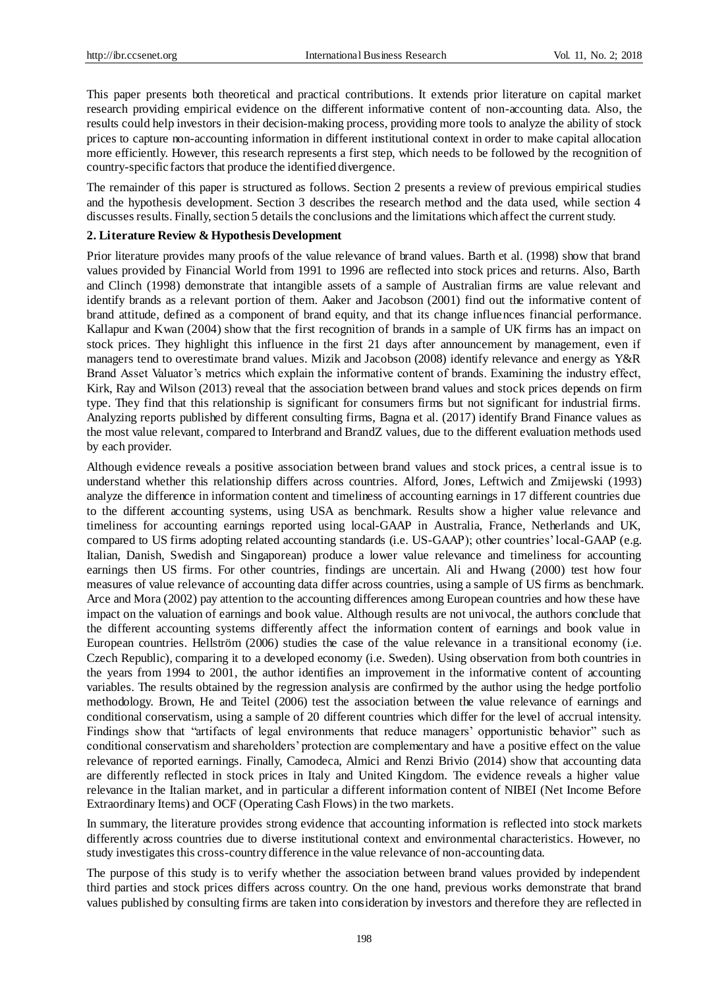This paper presents both theoretical and practical contributions. It extends prior literature on capital market research providing empirical evidence on the different informative content of non-accounting data. Also, the results could help investors in their decision-making process, providing more tools to analyze the ability of stock prices to capture non-accounting information in different institutional context in order to make capital allocation more efficiently. However, this research represents a first step, which needs to be followed by the recognition of country-specific factors that produce the identified divergence.

The remainder of this paper is structured as follows. Section 2 presents a review of previous empirical studies and the hypothesis development. Section 3 describes the research method and the data used, while section 4 discusses results. Finally, section 5 details the conclusions and the limitations which affect the current study.

## **2. Literature Review & Hypothesis Development**

Prior literature provides many proofs of the value relevance of brand values. Barth et al. (1998) show that brand values provided by Financial World from 1991 to 1996 are reflected into stock prices and returns. Also, Barth and Clinch (1998) demonstrate that intangible assets of a sample of Australian firms are value relevant and identify brands as a relevant portion of them. Aaker and Jacobson (2001) find out the informative content of brand attitude, defined as a component of brand equity, and that its change influences financial performance. Kallapur and Kwan (2004) show that the first recognition of brands in a sample of UK firms has an impact on stock prices. They highlight this influence in the first 21 days after announcement by management, even if managers tend to overestimate brand values. Mizik and Jacobson (2008) identify relevance and energy as Y&R Brand Asset Valuator's metrics which explain the informative content of brands. Examining the industry effect, Kirk, Ray and Wilson (2013) reveal that the association between brand values and stock prices depends on firm type. They find that this relationship is significant for consumers firms but not significant for industrial firms. Analyzing reports published by different consulting firms, Bagna et al. (2017) identify Brand Finance values as the most value relevant, compared to Interbrand and BrandZ values, due to the different evaluation methods used by each provider.

Although evidence reveals a positive association between brand values and stock prices, a central issue is to understand whether this relationship differs across countries. Alford, Jones, Leftwich and Zmijewski (1993) analyze the difference in information content and timeliness of accounting earnings in 17 different countries due to the different accounting systems, using USA as benchmark. Results show a higher value relevance and timeliness for accounting earnings reported using local-GAAP in Australia, France, Netherlands and UK, compared to US firms adopting related accounting standards (i.e. US-GAAP); other countries' local-GAAP (e.g. Italian, Danish, Swedish and Singaporean) produce a lower value relevance and timeliness for accounting earnings then US firms. For other countries, findings are uncertain. Ali and Hwang (2000) test how four measures of value relevance of accounting data differ across countries, using a sample of US firms as benchmark. Arce and Mora (2002) pay attention to the accounting differences among European countries and how these have impact on the valuation of earnings and book value. Although results are not univocal, the authors conclude that the different accounting systems differently affect the information content of earnings and book value in European countries. Hellström (2006) studies the case of the value relevance in a transitional economy (i.e. Czech Republic), comparing it to a developed economy (i.e. Sweden). Using observation from both countries in the years from 1994 to 2001, the author identifies an improvement in the informative content of accounting variables. The results obtained by the regression analysis are confirmed by the author using the hedge portfolio methodology. Brown, He and Teitel (2006) test the association between the value relevance of earnings and conditional conservatism, using a sample of 20 different countries which differ for the level of accrual intensity. Findings show that "artifacts of legal environments that reduce managers' opportunistic behavior" such as conditional conservatism and shareholders' protection are complementary and have a positive effect on the value relevance of reported earnings. Finally, Camodeca, Almici and Renzi Brivio (2014) show that accounting data are differently reflected in stock prices in Italy and United Kingdom. The evidence reveals a higher value relevance in the Italian market, and in particular a different information content of NIBEI (Net Income Before Extraordinary Items) and OCF (Operating Cash Flows) in the two markets.

In summary, the literature provides strong evidence that accounting information is reflected into stock markets differently across countries due to diverse institutional context and environmental characteristics. However, no study investigates this cross-country difference in the value relevance of non-accounting data.

The purpose of this study is to verify whether the association between brand values provided by independent third parties and stock prices differs across country. On the one hand, previous works demonstrate that brand values published by consulting firms are taken into consideration by investors and therefore they are reflected in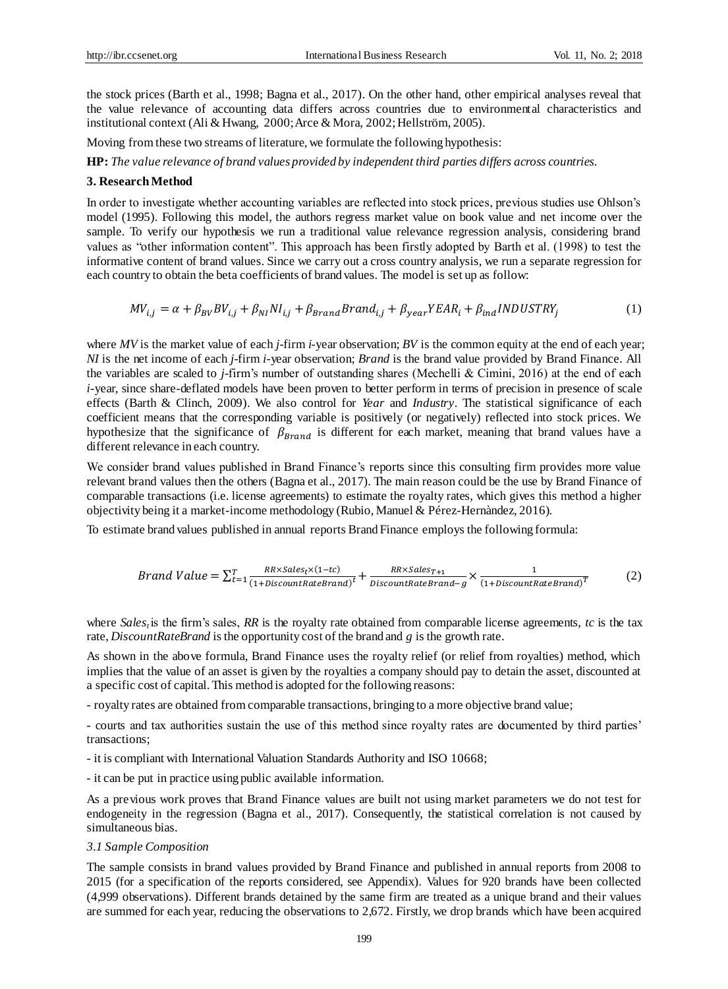the stock prices (Barth et al., 1998; Bagna et al., 2017). On the other hand, other empirical analyses reveal that the value relevance of accounting data differs across countries due to environmental characteristics and institutional context (Ali & Hwang, 2000; Arce & Mora, 2002; Hellström, 2005).

Moving from these two streams of literature, we formulate the following hypothesis:

**HP:** *The value relevance of brand values provided by independent third parties differs across countries.*

### **3. Research Method**

In order to investigate whether accounting variables are reflected into stock prices, previous studies use Ohlson's model (1995). Following this model, the authors regress market value on book value and net income over the sample. To verify our hypothesis we run a traditional value relevance regression analysis, considering brand values as "other information content". This approach has been firstly adopted by Barth et al. (1998) to test the informative content of brand values. Since we carry out a cross country analysis, we run a separate regression for each country to obtain the beta coefficients of brand values. The model is set up as follow:

$$
MV_{i,j} = \alpha + \beta_{BV}BV_{i,j} + \beta_{NI}NI_{i,j} + \beta_{Brand}Brand_{i,j} + \beta_{year} YEAR_i + \beta_{ind} INDUSTRY_j
$$
 (1)

where *MV* is the market value of each *j-*firm *i*-year observation; *BV* is the common equity at the end of each year; *NI* is the net income of each *j-*firm *i*-year observation; *Brand* is the brand value provided by Brand Finance. All the variables are scaled to *j-*firm's number of outstanding shares (Mechelli & Cimini, 2016) at the end of each *i-*year, since share-deflated models have been proven to better perform in terms of precision in presence of scale effects (Barth & Clinch, 2009). We also control for *Year* and *Industry*. The statistical significance of each coefficient means that the corresponding variable is positively (or negatively) reflected into stock prices. We hypothesize that the significance of  $\beta_{Brand}$  is different for each market, meaning that brand values have a different relevance in each country.

We consider brand values published in Brand Finance's reports since this consulting firm provides more value relevant brand values then the others (Bagna et al., 2017). The main reason could be the use by Brand Finance of comparable transactions (i.e. license agreements) to estimate the royalty rates, which gives this method a higher objectivity being it a market-income methodology (Rubio, Manuel & Pérez-Hernàndez, 2016).

To estimate brand values published in annual reports Brand Finance employs the following formula:

$$
Brand\ Value = \sum_{t=1}^{T} \frac{RR \times Sales_t \times (1-tc)}{(1+DiscountRateBrand)^t} + \frac{RR \times Sales_{T+1}}{DiscountRateBrand - g} \times \frac{1}{(1+DiscountRateBrand)^T}
$$
(2)

where *Sales*<sub>*i*</sub> is the firm's sales, *RR* is the royalty rate obtained from comparable license agreements, *tc* is the tax rate, *DiscountRateBrand* is the opportunity cost of the brand and *g* is the growth rate.

As shown in the above formula, Brand Finance uses the royalty relief (or relief from royalties) method, which implies that the value of an asset is given by the royalties a company should pay to detain the asset, discounted at a specific cost of capital. This method is adopted for the following reasons:

- royalty rates are obtained from comparable transactions, bringing to a more objective brand value;

- courts and tax authorities sustain the use of this method since royalty rates are documented by third parties' transactions;

- it is compliant with International Valuation Standards Authority and ISO 10668;

- it can be put in practice using public available information.

As a previous work proves that Brand Finance values are built not using market parameters we do not test for endogeneity in the regression (Bagna et al., 2017). Consequently, the statistical correlation is not caused by simultaneous bias.

#### *3.1 Sample Composition*

The sample consists in brand values provided by Brand Finance and published in annual reports from 2008 to 2015 (for a specification of the reports considered, see Appendix). Values for 920 brands have been collected (4,999 observations). Different brands detained by the same firm are treated as a unique brand and their values are summed for each year, reducing the observations to 2,672. Firstly, we drop brands which have been acquired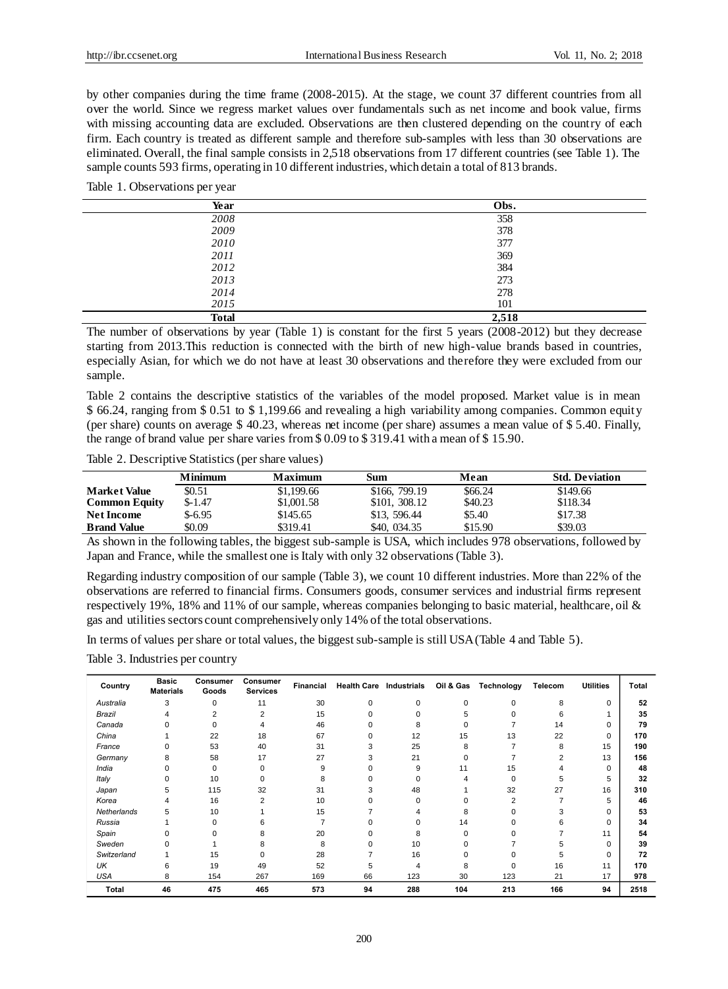by other companies during the time frame (2008-2015). At the stage, we count 37 different countries from all over the world. Since we regress market values over fundamentals such as net income and book value, firms with missing accounting data are excluded. Observations are then clustered depending on the country of each firm. Each country is treated as different sample and therefore sub-samples with less than 30 observations are eliminated. Overall, the final sample consists in 2,518 observations from 17 different countries (see Table 1). The sample counts 593 firms, operating in 10 different industries, which detain a total of 813 brands.

#### Table 1. Observations per year

| Year         | Obs.  |
|--------------|-------|
| 2008         | 358   |
| 2009         | 378   |
| 2010         | 377   |
| 2011         | 369   |
| 2012         | 384   |
| 2013         | 273   |
| 2014         | 278   |
| 2015         | 101   |
| <b>Total</b> | 2,518 |

The number of observations by year (Table 1) is constant for the first 5 years (2008-2012) but they decrease starting from 2013.This reduction is connected with the birth of new high-value brands based in countries, especially Asian, for which we do not have at least 30 observations and therefore they were excluded from our sample.

Table 2 contains the descriptive statistics of the variables of the model proposed. Market value is in mean \$ 66.24, ranging from \$ 0.51 to \$ 1,199.66 and revealing a high variability among companies. Common equity (per share) counts on average \$ 40.23, whereas net income (per share) assumes a mean value of \$ 5.40. Finally, the range of brand value per share varies from \$ 0.09 to \$ 319.41 with a mean of \$ 15.90.

Table 2. Descriptive Statistics (per share values)

|                      | <b>Minimum</b> | Maximum    | Sum           | Mean    | <b>Std. Deviation</b> |
|----------------------|----------------|------------|---------------|---------|-----------------------|
| <b>Market Value</b>  | \$0.51         | \$1,199.66 | \$166, 799.19 | \$66.24 | \$149.66              |
| <b>Common Equity</b> | $$-1.47$       | \$1,001.58 | \$101, 308.12 | \$40.23 | \$118.34              |
| <b>Net Income</b>    | $$-6.95$       | \$145.65   | \$13, 596.44  | \$5.40  | \$17.38               |
| <b>Brand Value</b>   | \$0.09         | \$319.41   | \$40, 034.35  | \$15.90 | \$39.03               |

As shown in the following tables, the biggest sub-sample is USA, which includes 978 observations, followed by Japan and France, while the smallest one is Italy with only 32 observations (Table 3).

Regarding industry composition of our sample (Table 3), we count 10 different industries. More than 22% of the observations are referred to financial firms. Consumers goods, consumer services and industrial firms represent respectively 19%, 18% and 11% of our sample, whereas companies belonging to basic material, healthcare, oil & gas and utilities sectors count comprehensively only 14% of the total observations.

In terms of values per share or total values, the biggest sub-sample is still USA (Table 4 and Table 5).

Table 3. Industries per country

| Country      | <b>Basic</b><br><b>Materials</b> | Consumer<br>Goods | Consumer<br><b>Services</b> | Financial | <b>Health Care Industrials</b> |          | Oil & Gas | Technology | Telecom | <b>Utilities</b> | Total |
|--------------|----------------------------------|-------------------|-----------------------------|-----------|--------------------------------|----------|-----------|------------|---------|------------------|-------|
| Australia    | 3                                | 0                 | 11                          | 30        | 0                              | $\Omega$ | $\Omega$  | $\Omega$   | 8       | $\Omega$         | 52    |
| Brazil       |                                  | 2                 | 2                           | 15        |                                |          |           |            | 6       |                  | 35    |
| Canada       | n                                | 0                 | 4                           | 46        |                                |          |           |            | 14      |                  | 79    |
| China        |                                  | 22                | 18                          | 67        |                                | 12       | 15        | 13         | 22      | $\Omega$         | 170   |
| France       | 0                                | 53                | 40                          | 31        |                                | 25       | 8         |            | 8       | 15               | 190   |
| Germany      | 8                                | 58                | 17                          | 27        |                                | 21       | U         |            |         | 13               | 156   |
| India        | 0                                | $\Omega$          | 0                           | 9         |                                | 9        | 11        | 15         |         | $\Omega$         | 48    |
| Italy        | $\Omega$                         | 10                |                             | 8         |                                |          |           | $\Omega$   | 5       | 5                | 32    |
| Japan        | 5                                | 115               | 32                          | 31        |                                | 48       |           | 32         | 27      | 16               | 310   |
| Korea        | 4                                | 16                | 2                           | 10        |                                | $\Omega$ |           | 2          |         | 5                | 46    |
| Netherlands  | 5                                | 10                |                             | 15        |                                |          | 8         |            | 3       |                  | 53    |
| Russia       |                                  | $\Omega$          |                             |           |                                |          | 14        |            | n       |                  | 34    |
| Spain        | $\Omega$                         |                   | 8                           | 20        |                                | 8        |           |            |         | 11               | 54    |
| Sweden       |                                  |                   |                             | 8         |                                | 10       |           |            |         | <sup>0</sup>     | 39    |
| Switzerland  |                                  | 15                |                             | 28        |                                | 16       |           |            | 5       | $\Omega$         | 72    |
| UK           | 6                                | 19                | 49                          | 52        |                                | 4        | 8         | $\Omega$   | 16      | 11               | 170   |
| <b>USA</b>   | 8                                | 154               | 267                         | 169       | 66                             | 123      | 30        | 123        | 21      | 17               | 978   |
| <b>Total</b> | 46                               | 475               | 465                         | 573       | 94                             | 288      | 104       | 213        | 166     | 94               | 2518  |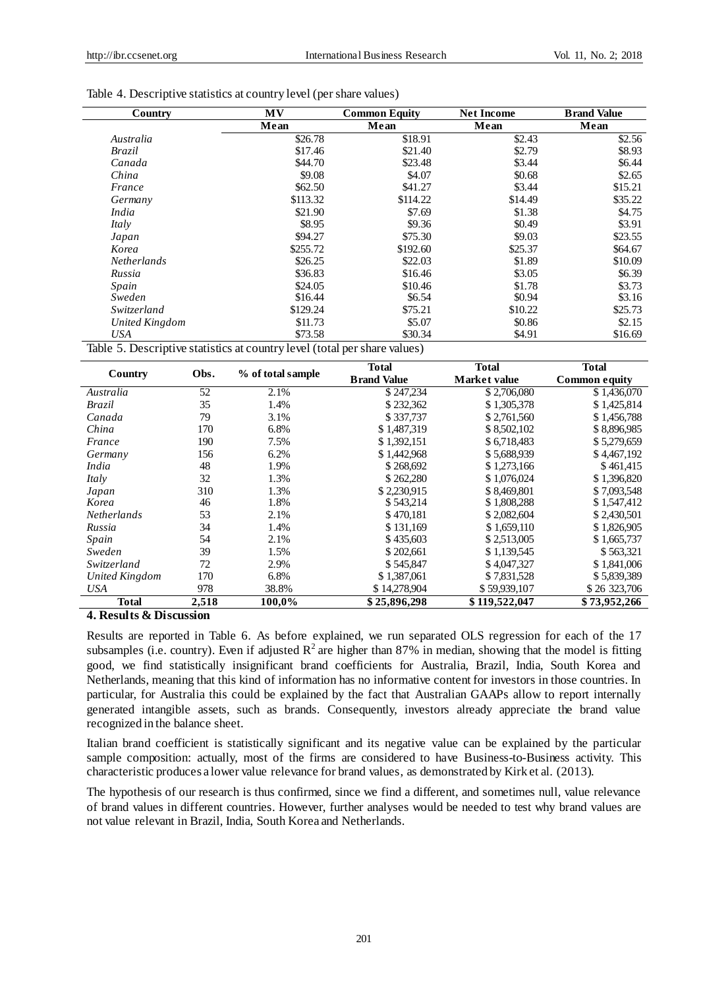| Country            | <b>MV</b> | <b>Common Equity</b> |         | <b>Brand Value</b> |
|--------------------|-----------|----------------------|---------|--------------------|
|                    | Mean      | Mean                 | Mean    | Mean               |
| Australia          | \$26.78   | \$18.91              | \$2.43  | \$2.56             |
| Brazil             | \$17.46   | \$21.40              | \$2.79  | \$8.93             |
| Canada             | \$44.70   | \$23.48              | \$3.44  | \$6.44             |
| China              | \$9.08    | \$4.07               | \$0.68  | \$2.65             |
| France             | \$62.50   | \$41.27              | \$3.44  | \$15.21            |
| Germany            | \$113.32  | \$114.22             | \$14.49 | \$35.22            |
| <i>India</i>       | \$21.90   | \$7.69               | \$1.38  | \$4.75             |
| Italy              | \$8.95    | \$9.36               | \$0.49  | \$3.91             |
| Japan              | \$94.27   | \$75.30              | \$9.03  | \$23.55            |
| Korea              | \$255.72  | \$192.60             | \$25.37 | \$64.67            |
| <b>Netherlands</b> | \$26.25   | \$22.03              | \$1.89  | \$10.09            |
| Russia             | \$36.83   | \$16.46              | \$3.05  | \$6.39             |
| Spain              | \$24.05   | \$10.46              | \$1.78  | \$3.73             |
| Sweden             | \$16.44   | \$6.54               | \$0.94  | \$3.16             |
| Switzerland        | \$129.24  | \$75.21              | \$10.22 | \$25.73            |
| United Kingdom     | \$11.73   | \$5.07               | \$0.86  | \$2.15             |
| <b>USA</b>         | \$73.58   | \$30.34              | \$4.91  | \$16.69            |

Table 4. Descriptive statistics at country level (per share values)

Table 5. Descriptive statistics at country level (total per share values)

|                |       |                   | <b>Total</b>       | Total         | <b>Total</b>         |
|----------------|-------|-------------------|--------------------|---------------|----------------------|
| Country        | Obs.  | % of total sample | <b>Brand Value</b> | Market value  | <b>Common equity</b> |
| Australia      | 52    | 2.1%              | \$247,234          | \$2,706,080   | \$1,436,070          |
| Brazil         | 35    | 1.4%              | \$232,362          | \$1,305,378   | \$1,425,814          |
| Canada         | 79    | 3.1%              | \$337.737          | \$2,761,560   | \$1,456,788          |
| China          | 170   | 6.8%              | \$1,487,319        | \$8,502,102   | \$8,896,985          |
| France         | 190   | 7.5%              | \$1,392,151        | \$6,718,483   | \$5,279,659          |
| Germany        | 156   | 6.2%              | \$1,442,968        | \$5,688,939   | \$4,467,192          |
| India          | 48    | 1.9%              | \$268,692          | \$1,273,166   | \$461,415            |
| Italy          | 32    | 1.3%              | \$262,280          | \$1,076,024   | \$1,396,820          |
| Japan          | 310   | 1.3%              | \$2,230,915        | \$8.469.801   | \$7,093,548          |
| Korea          | 46    | 1.8%              | \$543,214          | \$1,808,288   | \$1,547,412          |
| Netherlands    | 53    | 2.1%              | \$470.181          | \$2,082,604   | \$2,430,501          |
| Russia         | 34    | 1.4%              | \$131,169          | \$1,659,110   | \$1,826,905          |
| Spain          | 54    | 2.1%              | \$435,603          | \$2,513,005   | \$1,665,737          |
| Sweden         | 39    | 1.5%              | \$202,661          | \$1.139.545   | \$563,321            |
| Switzerland    | 72    | 2.9%              | \$545,847          | \$4,047,327   | \$1,841,006          |
| United Kingdom | 170   | 6.8%              | \$1,387,061        | \$7,831,528   | \$5,839,389          |
| <b>USA</b>     | 978   | 38.8%             | \$14,278,904       | \$59,939,107  | \$26 323,706         |
| <b>Total</b>   | 2,518 | 100,0%            | \$25,896,298       | \$119,522,047 | \$73,952,266         |

**4. Results & Discussion**

Results are reported in Table 6. As before explained, we run separated OLS regression for each of the 17 subsamples (i.e. country). Even if adjusted  $R^2$  are higher than 87% in median, showing that the model is fitting good, we find statistically insignificant brand coefficients for Australia, Brazil, India, South Korea and Netherlands, meaning that this kind of information has no informative content for investors in those countries. In particular, for Australia this could be explained by the fact that Australian GAAPs allow to report internally generated intangible assets, such as brands. Consequently, investors already appreciate the brand value recognized in the balance sheet.

Italian brand coefficient is statistically significant and its negative value can be explained by the particular sample composition: actually, most of the firms are considered to have Business-to-Business activity. This characteristic produces a lower value relevance for brand values, as demonstrated by Kirk et al. (2013).

The hypothesis of our research is thus confirmed, since we find a different, and sometimes null, value relevance of brand values in different countries. However, further analyses would be needed to test why brand values are not value relevant in Brazil, India, South Korea and Netherlands.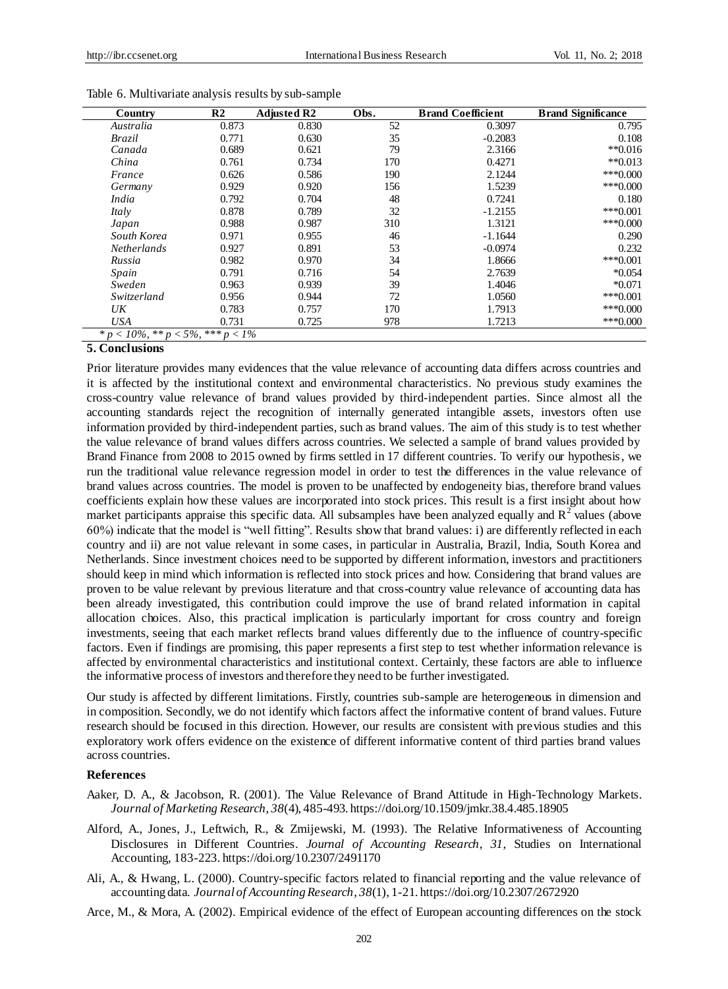| Country                                     | R2    | <b>Adjusted R2</b> | Obs. | <b>Brand Coefficient</b> | <b>Brand Significance</b> |
|---------------------------------------------|-------|--------------------|------|--------------------------|---------------------------|
| Australia                                   | 0.873 | 0.830              | 52   | 0.3097                   | 0.795                     |
| <b>Brazil</b>                               | 0.771 | 0.630              | 35   | $-0.2083$                | 0.108                     |
| Canada                                      | 0.689 | 0.621              | 79   | 2.3166                   | $*$ $0.016$               |
| China                                       | 0.761 | 0.734              | 170  | 0.4271                   | $*$ <sup>0.013</sup>      |
| France                                      | 0.626 | 0.586              | 190  | 2.1244                   | $***0.000$                |
| Germany                                     | 0.929 | 0.920              | 156  | 1.5239                   | $***0.000$                |
| India                                       | 0.792 | 0.704              | 48   | 0.7241                   | 0.180                     |
| Italy                                       | 0.878 | 0.789              | 32   | $-1.2155$                | $***0.001$                |
| Japan                                       | 0.988 | 0.987              | 310  | 1.3121                   | $***0.000$                |
| South Korea                                 | 0.971 | 0.955              | 46   | $-1.1644$                | 0.290                     |
| <i>Netherlands</i>                          | 0.927 | 0.891              | 53   | $-0.0974$                | 0.232                     |
| Russia                                      | 0.982 | 0.970              | 34   | 1.8666                   | $***0.001$                |
| Spain                                       | 0.791 | 0.716              | 54   | 2.7639                   | $*0.054$                  |
| Sweden                                      | 0.963 | 0.939              | 39   | 1.4046                   | $*0.071$                  |
| Switzerland                                 | 0.956 | 0.944              | 72   | 1.0560                   | $***0.001$                |
| UK                                          | 0.783 | 0.757              | 170  | 1.7913                   | $***0.000$                |
| <b>USA</b>                                  | 0.731 | 0.725              | 978  | 1.7213                   | $***0.000$                |
| * $p < 10\%$ , ** $p < 5\%$ , *** $p < 1\%$ |       |                    |      |                          |                           |

Table 6. Multivariate analysis results by sub-sample

# **5. Conclusions**

Prior literature provides many evidences that the value relevance of accounting data differs across countries and it is affected by the institutional context and environmental characteristics. No previous study examines the cross-country value relevance of brand values provided by third-independent parties. Since almost all the accounting standards reject the recognition of internally generated intangible assets, investors often use information provided by third-independent parties, such as brand values. The aim of this study is to test whether the value relevance of brand values differs across countries. We selected a sample of brand values provided by Brand Finance from 2008 to 2015 owned by firms settled in 17 different countries. To verify our hypothesis, we run the traditional value relevance regression model in order to test the differences in the value relevance of brand values across countries. The model is proven to be unaffected by endogeneity bias, therefore brand values coefficients explain how these values are incorporated into stock prices. This result is a first insight about how market participants appraise this specific data. All subsamples have been analyzed equally and  $R<sup>2</sup>$  values (above 60%) indicate that the model is "well fitting". Results show that brand values: i) are differently reflected in each country and ii) are not value relevant in some cases, in particular in Australia, Brazil, India, South Korea and Netherlands. Since investment choices need to be supported by different information, investors and practitioners should keep in mind which information is reflected into stock prices and how. Considering that brand values are proven to be value relevant by previous literature and that cross-country value relevance of accounting data has been already investigated, this contribution could improve the use of brand related information in capital allocation choices. Also, this practical implication is particularly important for cross country and foreign investments, seeing that each market reflects brand values differently due to the influence of country-specific factors. Even if findings are promising, this paper represents a first step to test whether information relevance is affected by environmental characteristics and institutional context. Certainly, these factors are able to influence the informative process of investors and therefore they need to be further investigated.

Our study is affected by different limitations. Firstly, countries sub-sample are heterogeneous in dimension and in composition. Secondly, we do not identify which factors affect the informative content of brand values. Future research should be focused in this direction. However, our results are consistent with previous studies and this exploratory work offers evidence on the existence of different informative content of third parties brand values across countries.

## **References**

- Aaker, D. A., & Jacobson, R. (2001). The Value Relevance of Brand Attitude in High-Technology Markets. *Journal of Marketing Research*, *38*(4), 485-493. https://doi.org/10.1509/jmkr.38.4.485.18905
- Alford, A., Jones, J., Leftwich, R., & Zmijewski, M. (1993). The Relative Informativeness of Accounting Disclosures in Different Countries. *Journal of Accounting Research*, *31*, Studies on International Accounting, 183-223. https://doi.org/10.2307/2491170
- Ali, A., & Hwang, L. (2000). Country-specific factors related to financial reporting and the value relevance of accounting data. *Journal of Accounting Research*, *38*(1), 1-21. https://doi.org/10.2307/2672920
- Arce, M., & Mora, A. (2002). Empirical evidence of the effect of European accounting differences on the stock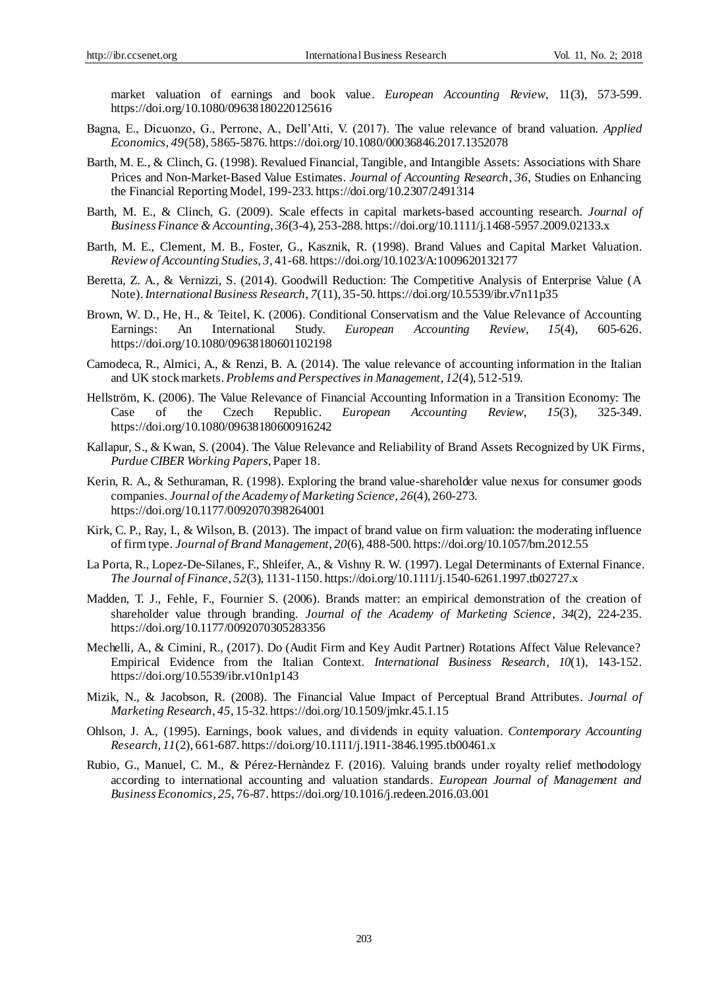market valuation of earnings and book value. *European Accounting Review*, 11(3), 573-599. https://doi.org/10.1080/09638180220125616

- Bagna, E., Dicuonzo, G., Perrone, A., Dell'Atti, V. (2017). The value relevance of brand valuation. *Applied Economics, 49*(58), 5865-5876. https://doi.org/10.1080/00036846.2017.1352078
- Barth, M. E., & Clinch, G. (1998). Revalued Financial, Tangible, and Intangible Assets: Associations with Share Prices and Non-Market-Based Value Estimates. *Journal of Accounting Research*, *36*, Studies on Enhancing the Financial Reporting Model, 199-233. https://doi.org/10.2307/2491314
- Barth, M. E., & Clinch, G. (2009). Scale effects in capital markets-based accounting research. *Journal of Business Finance & Accounting*, *36*(3-4), 253-288. https://doi.org/10.1111/j.1468-5957.2009.02133.x
- Barth, M. E., Clement, M. B., Foster, G., Kasznik, R. (1998). Brand Values and Capital Market Valuation. *Review of Accounting Studies*, *3*, 41-68. https://doi.org/10.1023/A:1009620132177
- Beretta, Z. A., & Vernizzi, S. (2014). Goodwill Reduction: The Competitive Analysis of Enterprise Value (A Note). *International Business Research*, *7*(11), 35-50. https://doi.org/10.5539/ibr.v7n11p35
- Brown, W. D., He, H., & Teitel, K. (2006). Conditional Conservatism and the Value Relevance of Accounting Earnings: An International Study. *European Accounting Review*, *15*(4), 605-626. https://doi.org/10.1080/09638180601102198
- Camodeca, R., Almici, A., & Renzi, B. A. (2014). The value relevance of accounting information in the Italian and UK stock markets. *Problems and Perspectives in Management*, *12*(4), 512-519.
- Hellström, K. (2006). The Value Relevance of Financial Accounting Information in a Transition Economy: The Case of the Czech Republic. *European Accounting Review*, *15*(3), 325-349. https://doi.org/10.1080/09638180600916242
- Kallapur, S., & Kwan, S. (2004). The Value Relevance and Reliability of Brand Assets Recognized by UK Firms, *Purdue CIBER Working Papers*, Paper 18.
- Kerin, R. A., & Sethuraman, R. (1998). Exploring the brand value-shareholder value nexus for consumer goods companies. *Journal of the Academy of Marketing Science*, *26*(4), 260-273. https://doi.org/10.1177/0092070398264001
- Kirk, C. P., Ray, I., & Wilson, B. (2013). The impact of brand value on firm valuation: the moderating influence of firm type. *Journal of Brand Management*, *20*(6), 488-500. https://doi.org/10.1057/bm.2012.55
- La Porta, R., Lopez-De-Silanes, F., Shleifer, A., & Vishny R. W. (1997). Legal Determinants of External Finance. *The Journal of Finance*, *52*(3), 1131-1150. https://doi.org/10.1111/j.1540-6261.1997.tb02727.x
- Madden, T. J., Fehle, F., Fournier S. (2006). Brands matter: an empirical demonstration of the creation of shareholder value through branding. *Journal of the Academy of Marketing Science*, *34*(2), 224-235. https://doi.org/10.1177/0092070305283356
- Mechelli, A., & Cimini, R., (2017). Do (Audit Firm and Key Audit Partner) Rotations Affect Value Relevance? Empirical Evidence from the Italian Context. *International Business Research*, *10*(1), 143-152. https://doi.org/10.5539/ibr.v10n1p143
- Mizik, N., & Jacobson, R. (2008). The Financial Value Impact of Perceptual Brand Attributes. *Journal of Marketing Research, 45*, 15-32. https://doi.org/10.1509/jmkr.45.1.15
- Ohlson, J. A., (1995). Earnings, book values, and dividends in equity valuation. *Contemporary Accounting Research*, *11*(2), 661-687. https://doi.org/10.1111/j.1911-3846.1995.tb00461.x
- Rubio, G., Manuel, C. M., & Pérez-Hernàndez F. (2016). Valuing brands under royalty relief methodology according to international accounting and valuation standards. *European Journal of Management and Business Economics*, *25*, 76-87. https://doi.org/10.1016/j.redeen.2016.03.001